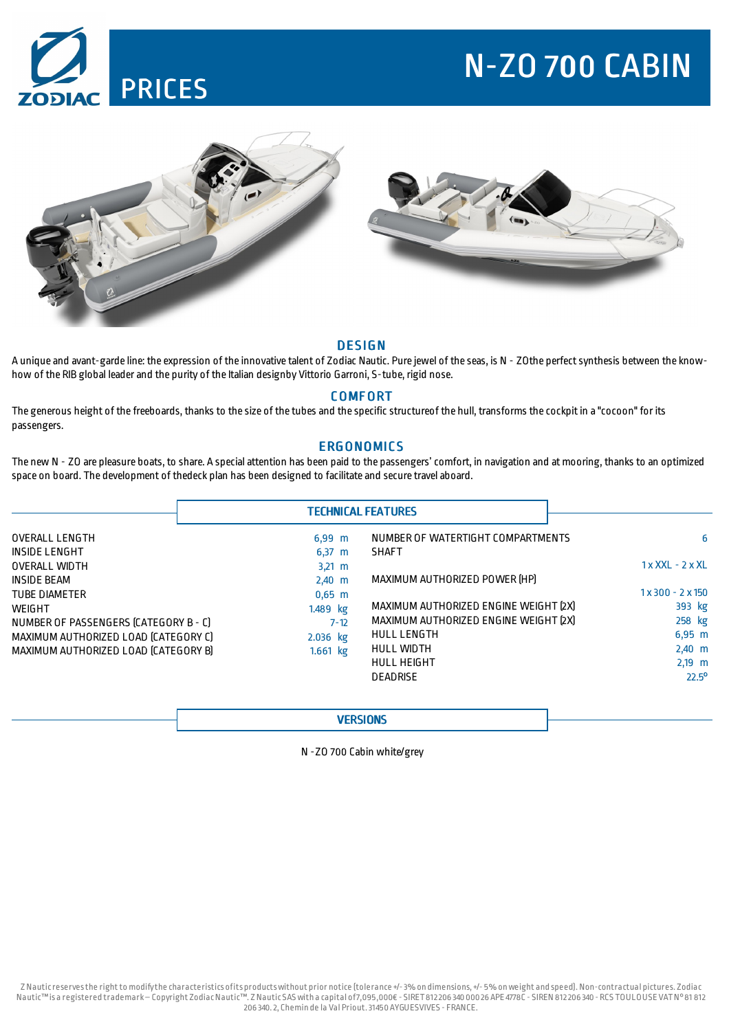# N-ZO 700 CABIN





## **DESIGN**

A unique and avant-garde line: the expression of the innovative talent of Zodiac Nautic. Pure jewel of the seas, is N - ZOthe perfectsynthesis between the knowhow of the RIB global leader and the purity of the Italian designby Vittorio Garroni, S-tube, rigid nose.

# **COMFORT**

The generous height of the freeboards, thanks to the size of the tubes and the specific structureof the hull, transforms the cockpitin a "cocoon" for its passengers.

# **ERGONOMICS**

The new N - ZO are pleasure boats, to share. A special attention has been paid to the passengers'comfort, in navigation and at mooring, thanks to an optimized space on board. The development of thedeck plan has been designed to facilitate and secure travel aboard.

|                                       | <b>TECHNICAL FEATURES</b> |                                       |                    |
|---------------------------------------|---------------------------|---------------------------------------|--------------------|
| <b>OVERALL LENGTH</b>                 | $6,99 \, m$               | NUMBER OF WATERTIGHT COMPARTMENTS     | 6                  |
| INSIDE LENGHT                         | $6,37 \, m$               | <b>SHAFT</b>                          |                    |
| <b>OVERALL WIDTH</b>                  | $3,21 \, m$               |                                       | $1x$ XXL - $2x$ XL |
| <b>INSIDE BEAM</b>                    | $2,40$ m                  | MAXIMUM AUTHORIZED POWER [HP]         |                    |
| <b>TUBE DIAMETER</b>                  | $0,65$ m                  |                                       | $1x300 - 2x150$    |
| <b>WEIGHT</b>                         | 1.489 kg                  | MAXIMUM AUTHORIZED ENGINE WEIGHT [2X] | 393 kg             |
| NUMBER OF PASSENGERS (CATEGORY B - C) | $7 - 12$                  | MAXIMUM AUTHORIZED ENGINE WEIGHT [2X] | 258 kg             |
| MAXIMUM AUTHORIZED LOAD (CATEGORY C)  | 2.036 kg                  | <b>HULL LENGTH</b>                    | $6,95 \, m$        |
| MAXIMUM AUTHORIZED LOAD (CATEGORY B)  | $1.661$ kg                | HULL WIDTH                            | $2,40$ m           |
|                                       |                           | <b>HULL HEIGHT</b>                    | $2,19$ m           |
|                                       |                           | <b>DEADRISE</b>                       | $22.5^{\circ}$     |

## **VERSIONS**

N -ZO 700 Cabin white/grey

Z Nauticreservesthe rightto modifythe characteristics ofits productswithout prior notice (tolerance +/-3% on dimensions,+/- 5% onweight and speed). Non-contractual pictures. Zodiac Nautic™is a registered trademark–Copyright Zodiac Nautic™. Z Nautic SAS with a capital of7,095,000€ - SIRET812206 340 000 26 APE 4778C - SIREN 812206 340 - RCS TOULOUSE VATN°81 812 206 340.2, Chemin de la Val Priout.31450AYGUESVIVES - FRANCE.